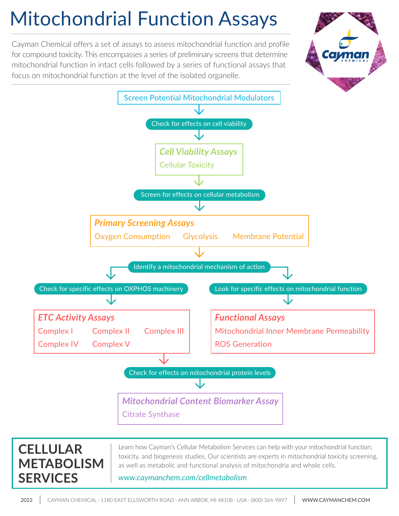# Mitochondrial Function Assays

Cayman Chemical offers a set of assays to assess mitochondrial function and profile for compound toxicity. This encompasses a series of preliminary screens that determine mitochondrial function in intact cells followed by a series of functional assays that focus on mitochondrial function at the level of the isolated organelle.





### **CELLULAR METABOLISM SERVICES**

Learn how Cayman's Cellular Metabolism Services can help with your mitochondrial function, toxicity, and biogenesis studies. Our scientists are experts in mitochondrial toxicity screening, as well as metabolic and functional analysis of mitochondria and whole cells.

#### *[www.caymanchem.com/cellmetabolism](https://www.caymanchem.com/cellmetabolism)*